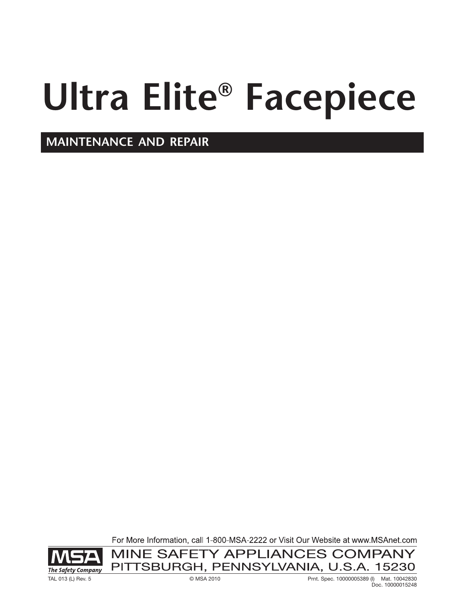# **Ultra Elite® Facepiece**

**MAINTENANCE AND REPAIR**

For More Information, call 1-800-MSA-2222 or Visit Our Website at www.MSAnet.com



MINE SAFETY APPLIANCES COMPANY PITTSBURGH, PENNSYLVANIA, U.S.A. 15230

TAL 013 (L) Rev. 5 © MSA 2010 Prnt. Spec. 10000005389 (I) Mat. 10042830 Doc. 10000015248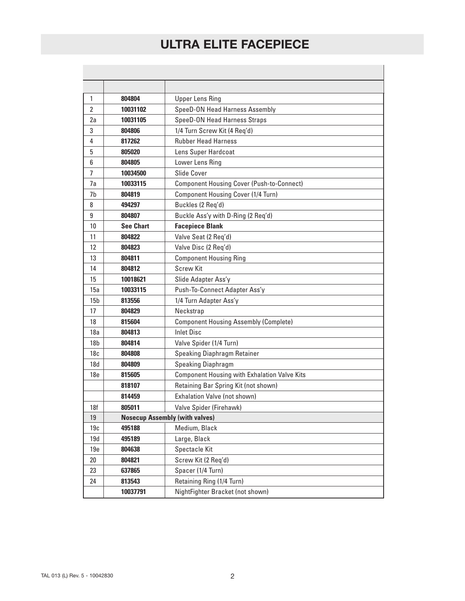| 1               | 804804                                | <b>Upper Lens Ring</b>                              |
|-----------------|---------------------------------------|-----------------------------------------------------|
| $\overline{2}$  | 10031102                              | SpeeD-ON Head Harness Assembly                      |
| 2a              | 10031105                              | SpeeD-ON Head Harness Straps                        |
| 3               | 804806                                | 1/4 Turn Screw Kit (4 Req'd)                        |
| 4               | 817262                                | <b>Rubber Head Harness</b>                          |
| 5               | 805020                                | Lens Super Hardcoat                                 |
| 6               | 804805                                | Lower Lens Ring                                     |
| $\overline{7}$  | 10034500                              | Slide Cover                                         |
| 7a              | 10033115                              | <b>Component Housing Cover (Push-to-Connect)</b>    |
| 7b              | 804819                                | Component Housing Cover (1/4 Turn)                  |
| 8               | 494297                                | Buckles (2 Req'd)                                   |
| 9               | 804807                                | Buckle Ass'y with D-Ring (2 Req'd)                  |
| 10              | <b>See Chart</b>                      | <b>Facepiece Blank</b>                              |
| 11              | 804822                                | Valve Seat (2 Req'd)                                |
| 12              | 804823                                | Valve Disc (2 Req'd)                                |
| 13              | 804811                                | <b>Component Housing Ring</b>                       |
| 14              | 804812                                | <b>Screw Kit</b>                                    |
| 15              | 10018621                              | Slide Adapter Ass'y                                 |
| 15a             | 10033115                              | Push-To-Connect Adapter Ass'y                       |
| 15 <sub>b</sub> | 813556                                | 1/4 Turn Adapter Ass'y                              |
| 17              | 804829                                | Neckstrap                                           |
| 18              | 815604                                | <b>Component Housing Assembly (Complete)</b>        |
| 18a             | 804813                                | <b>Inlet Disc</b>                                   |
| 18 <sub>b</sub> | 804814                                | Valve Spider (1/4 Turn)                             |
| 18 <sub>c</sub> | 804808                                | <b>Speaking Diaphragm Retainer</b>                  |
| 18d             | 804809                                | <b>Speaking Diaphragm</b>                           |
| 18 <sub>e</sub> | 815605                                | <b>Component Housing with Exhalation Valve Kits</b> |
|                 | 818107                                | Retaining Bar Spring Kit (not shown)                |
|                 | 814459                                | Exhalation Valve (not shown)                        |
| 18f             | 805011                                | Valve Spider (Firehawk)                             |
| 19              | <b>Nosecup Assembly (with valves)</b> |                                                     |
| 19c             | 495188                                | Medium, Black                                       |
| 19d             | 495189                                | Large, Black                                        |
| 19e             | 804638                                | Spectacle Kit                                       |
| $20\,$          | 804821                                | Screw Kit (2 Req'd)                                 |
| 23              | 637865                                | Spacer (1/4 Turn)                                   |
| 24              | 813543                                | Retaining Ring (1/4 Turn)                           |
|                 | 10037791                              | NightFighter Bracket (not shown)                    |
|                 |                                       |                                                     |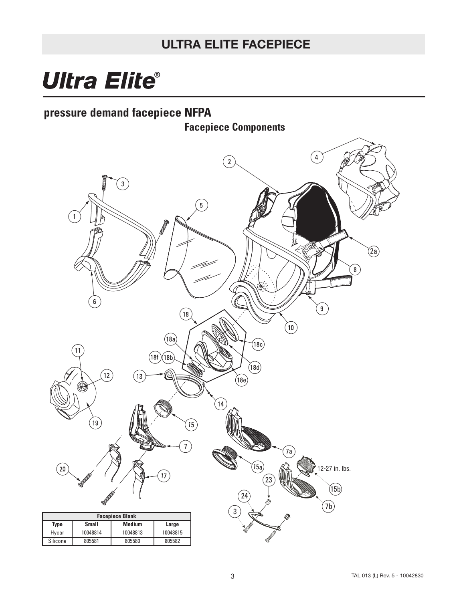## **Ultra Elite®**

## **pressure demand facepiece NFPA**

**Facepiece Components**

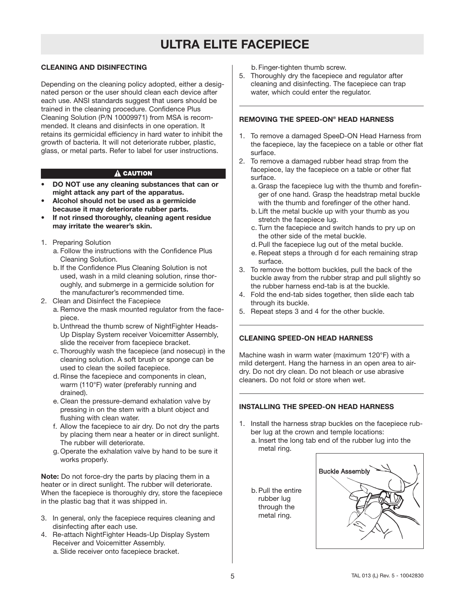#### **CLEANING AND DISINFECTING**

Depending on the cleaning policy adopted, either a designated person or the user should clean each device after each use. ANSI standards suggest that users should be trained in the cleaning procedure. Confidence Plus Cleaning Solution (P/N 10009971) from MSA is recommended. It cleans and disinfects in one operation. It retains its germicidal efficiency in hard water to inhibit the growth of bacteria. It will not deteriorate rubber, plastic, glass, or metal parts. Refer to label for user instructions.

#### A CAUTION

- **DO NOT use any cleaning substances that can or might attack any part of the apparatus.**
- **Alcohol should not be used as a germicide because it may deteriorate rubber parts.**
- **If not rinsed thoroughly, cleaning agent residue may irritate the wearer's skin.**
- 1. Preparing Solution
	- a. Follow the instructions with the Confidence Plus Cleaning Solution.
	- b.If the Confidence Plus Cleaning Solution is not used, wash in a mild cleaning solution, rinse thoroughly, and submerge in a germicide solution for the manufacturer's recommended time.
- 2. Clean and Disinfect the Facepiece
	- a. Remove the mask mounted regulator from the facepiece.
	- b.Unthread the thumb screw of NightFighter Heads-Up Display System receiver Voicemitter Assembly, slide the receiver from facepiece bracket.
	- c. Thoroughly wash the facepiece (and nosecup) in the cleaning solution. A soft brush or sponge can be used to clean the soiled facepiece.
	- d.Rinse the facepiece and components in clean, warm (110°F) water (preferably running and drained).
	- e. Clean the pressure-demand exhalation valve by pressing in on the stem with a blunt object and flushing with clean water.
	- f. Allow the facepiece to air dry. Do not dry the parts by placing them near a heater or in direct sunlight. The rubber will deteriorate.
	- g. Operate the exhalation valve by hand to be sure it works properly.

**Note:** Do not force-dry the parts by placing them in a heater or in direct sunlight. The rubber will deteriorate. When the facepiece is thoroughly dry, store the facepiece in the plastic bag that it was shipped in.

- 3. In general, only the facepiece requires cleaning and disinfecting after each use.
- 4. Re-attach NightFighter Heads-Up Display System Receiver and Voicemitter Assembly. a. Slide receiver onto facepiece bracket.

b.Finger-tighten thumb screw.

5. Thoroughly dry the facepiece and regulator after cleaning and disinfecting. The facepiece can trap water, which could enter the regulator.

#### **REMOVING THE SPEED-ON® HEAD HARNESS**

- 1. To remove a damaged SpeeD-ON Head Harness from the facepiece, lay the facepiece on a table or other flat surface.
- 2. To remove a damaged rubber head strap from the facepiece, lay the facepiece on a table or other flat surface.
	- a. Grasp the facepiece lug with the thumb and forefinger of one hand. Grasp the headstrap metal buckle with the thumb and forefinger of the other hand.
	- b.Lift the metal buckle up with your thumb as you stretch the facepiece lug.
	- c. Turn the facepiece and switch hands to pry up on the other side of the metal buckle.
	- d.Pull the facepiece lug out of the metal buckle.
	- e. Repeat steps a through d for each remaining strap surface.
- 3. To remove the bottom buckles, pull the back of the buckle away from the rubber strap and pull slightly so the rubber harness end-tab is at the buckle.
- 4. Fold the end-tab sides together, then slide each tab through its buckle.
- 5. Repeat steps 3 and 4 for the other buckle.

#### **CLEANING SPEED-ON HEAD HARNESS**

Machine wash in warm water (maximum 120°F) with a mild detergent. Hang the harness in an open area to airdry. Do not dry clean. Do not bleach or use abrasive cleaners. Do not fold or store when wet.

#### **INSTALLING THE SPEED-ON HEAD HARNESS**

- 1. Install the harness strap buckles on the facepiece rubber lug at the crown and temple locations: a. Insert the long tab end of the rubber lug into the metal ring.
	- b.Pull the entire rubber lug through the metal ring.

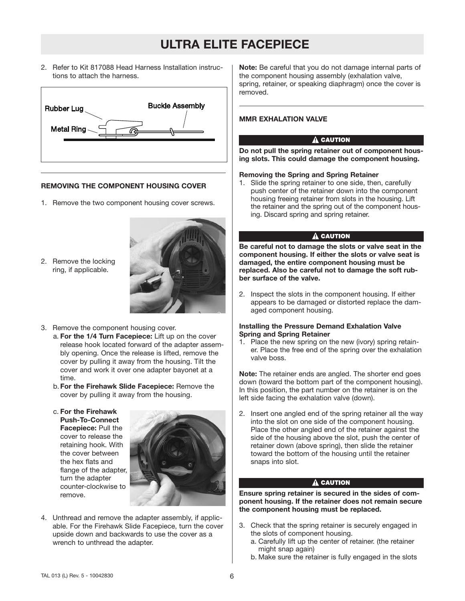2. Refer to Kit 817088 Head Harness Installation instructions to attach the harness.



#### **REMOVING THE COMPONENT HOUSING COVER**

- 1. Remove the two component housing cover screws.
- 2. Remove the locking ring, if applicable.



- 3. Remove the component housing cover.
	- a. **For the 1/4 Turn Facepiece:** Lift up on the cover release hook located forward of the adapter assembly opening. Once the release is lifted, remove the cover by pulling it away from the housing. Tilt the cover and work it over one adapter bayonet at a time.
	- b.**For the Firehawk Slide Facepiece:** Remove the cover by pulling it away from the housing.
	- c. **For the Firehawk Push-To-Connect Facepiece:** Pull the cover to release the retaining hook. With the cover between the hex flats and flange of the adapter, turn the adapter counter-clockwise to remove.



4. Unthread and remove the adapter assembly, if applicable. For the Firehawk Slide Facepiece, turn the cover upside down and backwards to use the cover as a wrench to unthread the adapter.

**Note:** Be careful that you do not damage internal parts of the component housing assembly (exhalation valve, spring, retainer, or speaking diaphragm) once the cover is removed.

#### **MMR EXHALATION VALVE**

#### A CAUTION

**Do not pull the spring retainer out of component housing slots. This could damage the component housing.**

#### **Removing the Spring and Spring Retainer**

1. Slide the spring retainer to one side, then, carefully push center of the retainer down into the component housing freeing retainer from slots in the housing. Lift the retainer and the spring out of the component housing. Discard spring and spring retainer.

#### A CAUTION

**Be careful not to damage the slots or valve seat in the component housing. If either the slots or valve seat is damaged, the entire component housing must be replaced. Also be careful not to damage the soft rubber surface of the valve.**

2. Inspect the slots in the component housing. If either appears to be damaged or distorted replace the damaged component housing.

#### **Installing the Pressure Demand Exhalation Valve Spring and Spring Retainer**

1. Place the new spring on the new (ivory) spring retainer. Place the free end of the spring over the exhalation valve boss.

**Note:** The retainer ends are angled. The shorter end goes down (toward the bottom part of the component housing). In this position, the part number on the retainer is on the left side facing the exhalation valve (down).

2. Insert one angled end of the spring retainer all the way into the slot on one side of the component housing. Place the other angled end of the retainer against the side of the housing above the slot, push the center of retainer down (above spring), then slide the retainer toward the bottom of the housing until the retainer snaps into slot.

#### $\hat{\mathbf{A}}$  caution

**Ensure spring retainer is secured in the sides of component housing. If the retainer does not remain secure the component housing must be replaced.**

- 3. Check that the spring retainer is securely engaged in the slots of component housing.
	- a. Carefully lift up the center of retainer. (the retainer might snap again)
	- b. Make sure the retainer is fully engaged in the slots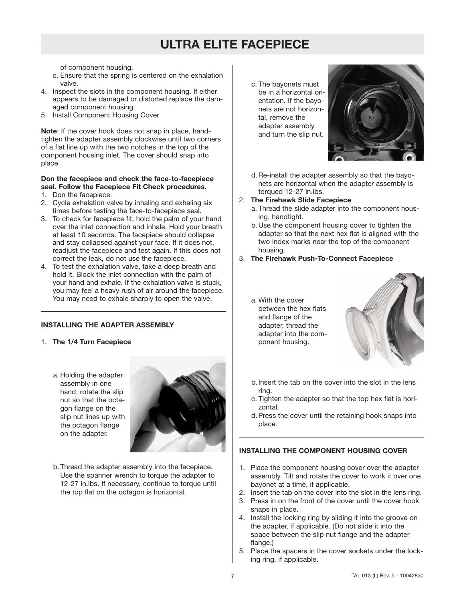of component housing.

- c. Ensure that the spring is centered on the exhalation valve.
- 4. Inspect the slots in the component housing. If either appears to be damaged or distorted replace the damaged component housing.
- 5. Install Component Housing Cover

**Note**: If the cover hook does not snap in place, handtighten the adapter assembly clockwise until two corners of a flat line up with the two notches in the top of the component housing inlet. The cover should snap into place.

#### **Don the facepiece and check the face-to-facepiece seal. Follow the Facepiece Fit Check procedures.**

- 1. Don the facepiece.
- 2. Cycle exhalation valve by inhaling and exhaling six times before testing the face-to-facepiece seal.
- 3. To check for facepiece fit, hold the palm of your hand over the inlet connection and inhale. Hold your breath at least 10 seconds. The facepiece should collapse and stay collapsed against your face. If it does not, readjust the facepiece and test again. If this does not correct the leak, do not use the facepiece.
- 4. To test the exhalation valve, take a deep breath and hold it. Block the inlet connection with the palm of your hand and exhale. If the exhalation valve is stuck, you may feel a heavy rush of air around the facepiece. You may need to exhale sharply to open the valve.

#### **INSTALLING THE ADAPTER ASSEMBLY**

- 1. **The 1/4 Turn Facepiece**
	- a. Holding the adapter assembly in one hand, rotate the slip nut so that the octagon flange on the slip nut lines up with the octagon flange on the adapter.



b.Thread the adapter assembly into the facepiece. Use the spanner wrench to torque the adapter to 12-27 in.lbs. If necessary, continue to torque until the top flat on the octagon is horizontal.

c. The bayonets must be in a horizontal orientation. If the bayonets are not horizontal, remove the adapter assembly and turn the slip nut.



d.Re-install the adapter assembly so that the bayonets are horizontal when the adapter assembly is torqued 12-27 in.lbs.

#### 2. **The Firehawk Slide Facepiece**

- a. Thread the slide adapter into the component housing, handtight.
- b.Use the component housing cover to tighten the adapter so that the next hex flat is aligned with the two index marks near the top of the component housing.
- 3. **The Firehawk Push-To-Connect Facepiece**
	- a. With the cover between the hex flats and flange of the adapter, thread the adapter into the component housing.



- b.Insert the tab on the cover into the slot in the lens ring.
- c. Tighten the adapter so that the top hex flat is horizontal.
- d.Press the cover until the retaining hook snaps into place.

#### **INSTALLING THE COMPONENT HOUSING COVER**

- 1. Place the component housing cover over the adapter assembly. Tilt and rotate the cover to work it over one bayonet at a time, if applicable.
- 2. Insert the tab on the cover into the slot in the lens ring.
- 3. Press in on the front of the cover until the cover hook snaps in place.
- 4. Install the locking ring by sliding it into the groove on the adapter, if applicable. (Do not slide it into the space between the slip nut flange and the adapter flange.)
- 5. Place the spacers in the cover sockets under the locking ring, if applicable.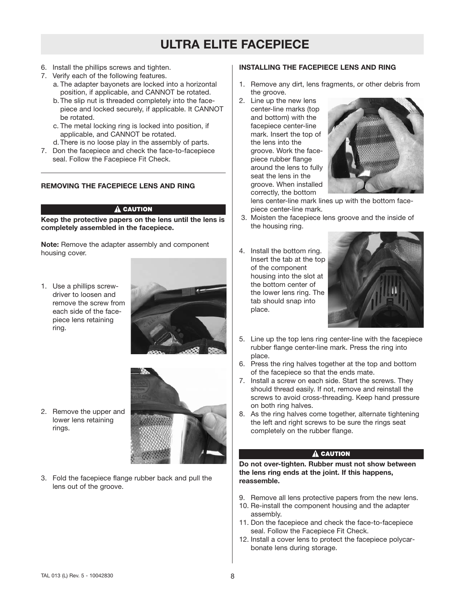- 6. Install the phillips screws and tighten.
- 7. Verify each of the following features.
	- a. The adapter bayonets are locked into a horizontal position, if applicable, and CANNOT be rotated.
	- b.The slip nut is threaded completely into the facepiece and locked securely, if applicable. It CANNOT be rotated.
	- c. The metal locking ring is locked into position, if applicable, and CANNOT be rotated.
	- d.There is no loose play in the assembly of parts.
- 7. Don the facepiece and check the face-to-facepiece seal. Follow the Facepiece Fit Check.

#### **REMOVING THE FACEPIECE LENS AND RING**

#### A CAUTION

**Keep the protective papers on the lens until the lens is completely assembled in the facepiece.**

**Note:** Remove the adapter assembly and component housing cover.

1. Use a phillips screwdriver to loosen and remove the screw from each side of the facepiece lens retaining ring.



2. Remove the upper and lower lens retaining rings.



3. Fold the facepiece flange rubber back and pull the lens out of the groove.

#### **INSTALLING THE FACEPIECE LENS AND RING**

- 1. Remove any dirt, lens fragments, or other debris from the groove.
- 2. Line up the new lens center-line marks (top and bottom) with the facepiece center-line mark. Insert the top of the lens into the groove. Work the facepiece rubber flange around the lens to fully seat the lens in the groove. When installed correctly, the bottom



lens center-line mark lines up with the bottom facepiece center-line mark.

- 3. Moisten the facepiece lens groove and the inside of the housing ring.
- 4. Install the bottom ring. Insert the tab at the top of the component housing into the slot at the bottom center of the lower lens ring. The tab should snap into place.



- 5. Line up the top lens ring center-line with the facepiece rubber flange center-line mark. Press the ring into place.
- 6. Press the ring halves together at the top and bottom of the facepiece so that the ends mate.
- 7. Install a screw on each side. Start the screws. They should thread easily. If not, remove and reinstall the screws to avoid cross-threading. Keep hand pressure on both ring halves.
- 8. As the ring halves come together, alternate tightening the left and right screws to be sure the rings seat completely on the rubber flange.

#### A CAUTION

**Do not over-tighten. Rubber must not show between the lens ring ends at the joint. If this happens, reassemble.**

- 9. Remove all lens protective papers from the new lens.
- 10. Re-install the component housing and the adapter assembly.
- 11. Don the facepiece and check the face-to-facepiece seal. Follow the Facepiece Fit Check.
- 12. Install a cover lens to protect the facepiece polycarbonate lens during storage.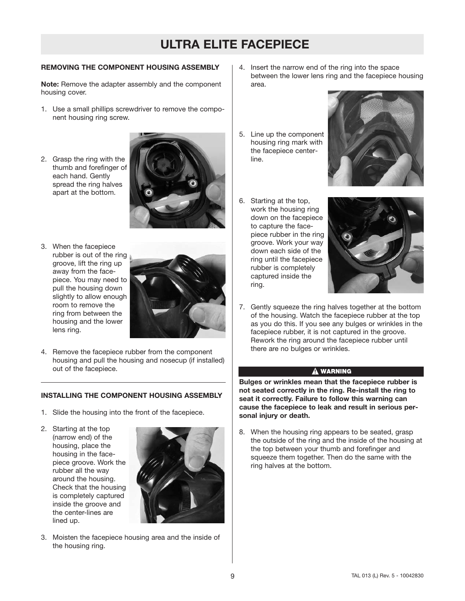#### **REMOVING THE COMPONENT HOUSING ASSEMBLY**

**Note:** Remove the adapter assembly and the component housing cover.

- 1. Use a small phillips screwdriver to remove the component housing ring screw.
- 2. Grasp the ring with the thumb and forefinger of each hand. Gently spread the ring halves apart at the bottom.



3. When the facepiece rubber is out of the ring groove, lift the ring up away from the facepiece. You may need to pull the housing down slightly to allow enough room to remove the ring from between the housing and the lower lens ring.



4. Remove the facepiece rubber from the component housing and pull the housing and nosecup (if installed) out of the facepiece.

#### **INSTALLING THE COMPONENT HOUSING ASSEMBLY**

- 1. Slide the housing into the front of the facepiece.
- 2. Starting at the top (narrow end) of the housing, place the housing in the facepiece groove. Work the rubber all the way around the housing. Check that the housing is completely captured inside the groove and the center-lines are lined up.



3. Moisten the facepiece housing area and the inside of the housing ring.

- 4. Insert the narrow end of the ring into the space between the lower lens ring and the facepiece housing area.
- 5. Line up the component housing ring mark with the facepiece centerline.
- 6. Starting at the top, work the housing ring down on the facepiece to capture the facepiece rubber in the ring groove. Work your way down each side of the ring until the facepiece rubber is completely captured inside the ring.





7. Gently squeeze the ring halves together at the bottom of the housing. Watch the facepiece rubber at the top as you do this. If you see any bulges or wrinkles in the facepiece rubber, it is not captured in the groove. Rework the ring around the facepiece rubber until there are no bulges or wrinkles.

#### $\hat{\mathbf{A}}$  warning

**Bulges or wrinkles mean that the facepiece rubber is not seated correctly in the ring. Re-install the ring to seat it correctly. Failure to follow this warning can cause the facepiece to leak and result in serious personal injury or death.**

8. When the housing ring appears to be seated, grasp the outside of the ring and the inside of the housing at the top between your thumb and forefinger and squeeze them together. Then do the same with the ring halves at the bottom.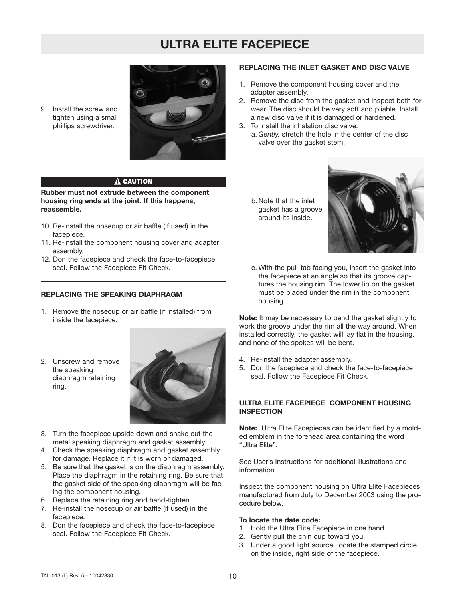9. Install the screw and tighten using a small phillips screwdriver.



#### **A CAUTION**

**Rubber must not extrude between the component housing ring ends at the joint. If this happens, reassemble.**

- 10. Re-install the nosecup or air baffle (if used) in the facepiece.
- 11. Re-install the component housing cover and adapter assembly.
- 12. Don the facepiece and check the face-to-facepiece seal. Follow the Facepiece Fit Check.

#### **REPLACING THE SPEAKING DIAPHRAGM**

- 1. Remove the nosecup or air baffle (if installed) from inside the facepiece.
- 2. Unscrew and remove the speaking diaphragm retaining ring.



- 3. Turn the facepiece upside down and shake out the metal speaking diaphragm and gasket assembly.
- 4. Check the speaking diaphragm and gasket assembly for damage. Replace it if it is worn or damaged.
- 5. Be sure that the gasket is on the diaphragm assembly. Place the diaphragm in the retaining ring. Be sure that the gasket side of the speaking diaphragm will be facing the component housing.
- 6. Replace the retaining ring and hand-tighten.
- 7. Re-install the nosecup or air baffle (if used) in the facepiece.
- 8. Don the facepiece and check the face-to-facepiece seal. Follow the Facepiece Fit Check.

#### **REPLACING THE INLET GASKET AND DISC VALVE**

- 1. Remove the component housing cover and the adapter assembly.
- 2. Remove the disc from the gasket and inspect both for wear. The disc should be very soft and pliable. Install a new disc valve if it is damaged or hardened.
- 3. To install the inhalation disc valve: a. *Gently,* stretch the hole in the center of the disc valve over the gasket stem.
	- b.Note that the inlet gasket has a groove around its inside.



c. With the pull-tab facing you, insert the gasket into the facepiece at an angle so that its groove captures the housing rim. The lower lip on the gasket must be placed under the rim in the component housing.

**Note:** It may be necessary to bend the gasket slightly to work the groove under the rim all the way around. When installed correctly, the gasket will lay flat in the housing, and none of the spokes will be bent.

- 4. Re-install the adapter assembly.
- 5. Don the facepiece and check the face-to-facepiece seal. Follow the Facepiece Fit Check.

#### **ULTRA ELITE FACEPIECE COMPONENT HOUSING INSPECTION**

**Note:** Ultra Elite Facepieces can be identified by a molded emblem in the forehead area containing the word "Ultra Elite".

See User's Instructions for additional illustrations and information.

Inspect the component housing on Ultra Elite Facepieces manufactured from July to December 2003 using the procedure below.

#### **To locate the date code:**

- 1. Hold the Ultra Elite Facepiece in one hand.
- 2. Gently pull the chin cup toward you.
- 3. Under a good light source, locate the stamped circle on the inside, right side of the facepiece.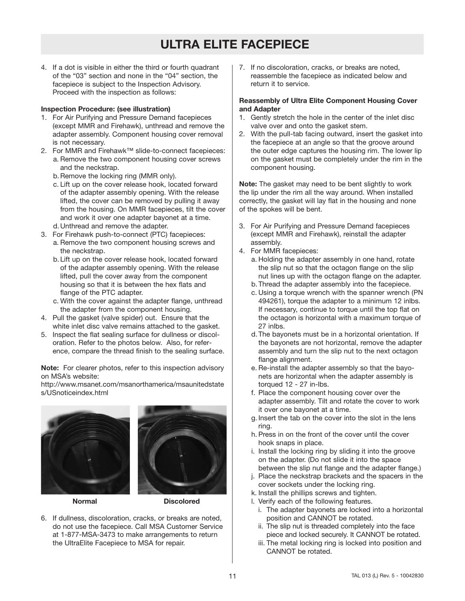4. If a dot is visible in either the third or fourth quadrant of the "03" section and none in the "04" section, the facepiece is subject to the Inspection Advisory. Proceed with the inspection as follows:

#### **Inspection Procedure: (see illustration)**

- 1. For Air Purifying and Pressure Demand facepieces (except MMR and Firehawk), unthread and remove the adapter assembly. Component housing cover removal is not necessary.
- 2. For MMR and Firehawk™ slide-to-connect facepieces: a. Remove the two component housing cover screws and the neckstrap.
	- b.Remove the locking ring (MMR only).
	- c. Lift up on the cover release hook, located forward of the adapter assembly opening. With the release lifted, the cover can be removed by pulling it away from the housing. On MMR facepieces, tilt the cover and work it over one adapter bayonet at a time. d.Unthread and remove the adapter.
- 3. For Firehawk push-to-connect (PTC) facepieces:
	- a. Remove the two component housing screws and the neckstrap.
	- b.Lift up on the cover release hook, located forward of the adapter assembly opening. With the release lifted, pull the cover away from the component housing so that it is between the hex flats and flange of the PTC adapter.
	- c. With the cover against the adapter flange, unthread the adapter from the component housing.
- 4. Pull the gasket (valve spider) out. Ensure that the white inlet disc valve remains attached to the gasket.
- 5. Inspect the flat sealing surface for dullness or discoloration. Refer to the photos below. Also, for reference, compare the thread finish to the sealing surface.

**Note:** For clearer photos, refer to this inspection advisory on MSA's website:

http://www.msanet.com/msanorthamerica/msaunitedstate s/USnoticeindex.html



**Normal Discolored**

6. If dullness, discoloration, cracks, or breaks are noted, do not use the facepiece. Call MSA Customer Service at 1-877-MSA-3473 to make arrangements to return the UltraElite Facepiece to MSA for repair.

7. If no discoloration, cracks, or breaks are noted, reassemble the facepiece as indicated below and return it to service.

#### **Reassembly of Ultra Elite Component Housing Cover and Adapter**

- 1. Gently stretch the hole in the center of the inlet disc valve over and onto the gasket stem.
- 2. With the pull-tab facing outward, insert the gasket into the facepiece at an angle so that the groove around the outer edge captures the housing rim. The lower lip on the gasket must be completely under the rim in the component housing.

**Note:** The gasket may need to be bent slightly to work the lip under the rim all the way around. When installed correctly, the gasket will lay flat in the housing and none of the spokes will be bent.

- 3. For Air Purifying and Pressure Demand facepieces (except MMR and Firehawk), reinstall the adapter assembly.
- 4. For MMR facepieces:
	- a. Holding the adapter assembly in one hand, rotate the slip nut so that the octagon flange on the slip nut lines up with the octagon flange on the adapter.
	- b.Thread the adapter assembly into the facepiece.
	- c. Using a torque wrench with the spanner wrench (PN 494261), torque the adapter to a minimum 12 inlbs. If necessary, continue to torque until the top flat on the octagon is horizontal with a maximum torque of 27 inlbs.
	- d.The bayonets must be in a horizontal orientation. If the bayonets are not horizontal, remove the adapter assembly and turn the slip nut to the next octagon flange alignment.
	- e. Re-install the adapter assembly so that the bayonets are horizontal when the adapter assembly is torqued 12 - 27 in-lbs.
	- f. Place the component housing cover over the adapter assembly. Tilt and rotate the cover to work it over one bayonet at a time.
	- g. Insert the tab on the cover into the slot in the lens ring.
	- h. Press in on the front of the cover until the cover hook snaps in place.
	- i. Install the locking ring by sliding it into the groove on the adapter. (Do not slide it into the space between the slip nut flange and the adapter flange.)
	- j. Place the neckstrap brackets and the spacers in the cover sockets under the locking ring.
	- k. Install the phillips screws and tighten.
	- l. Verify each of the following features.
		- i. The adapter bayonets are locked into a horizontal position and CANNOT be rotated.
		- ii. The slip nut is threaded completely into the face piece and locked securely. It CANNOT be rotated.
		- iii. The metal locking ring is locked into position and CANNOT be rotated.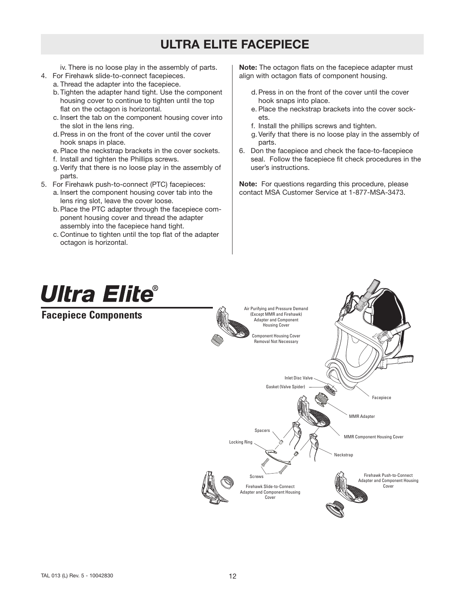iv. There is no loose play in the assembly of parts.

- 4. For Firehawk slide-to-connect facepieces. a. Thread the adapter into the facepiece.
	- b.Tighten the adapter hand tight. Use the component housing cover to continue to tighten until the top flat on the octagon is horizontal.
	- c. Insert the tab on the component housing cover into the slot in the lens ring.
	- d.Press in on the front of the cover until the cover hook snaps in place.
	- e. Place the neckstrap brackets in the cover sockets.
	- f. Install and tighten the Phillips screws.
	- g. Verify that there is no loose play in the assembly of parts.
- 5. For Firehawk push-to-connect (PTC) facepieces:
	- a. Insert the component housing cover tab into the lens ring slot, leave the cover loose.
	- b.Place the PTC adapter through the facepiece component housing cover and thread the adapter assembly into the facepiece hand tight.
	- c. Continue to tighten until the top flat of the adapter octagon is horizontal.

**Note:** The octagon flats on the facepiece adapter must align with octagon flats of component housing.

- d.Press in on the front of the cover until the cover hook snaps into place.
- e. Place the neckstrap brackets into the cover sockets.
- f. Install the phillips screws and tighten.
- g. Verify that there is no loose play in the assembly of parts.
- 6. Don the facepiece and check the face-to-facepiece seal. Follow the facepiece fit check procedures in the user's instructions.

**Note:** For questions regarding this procedure, please contact MSA Customer Service at 1-877-MSA-3473.

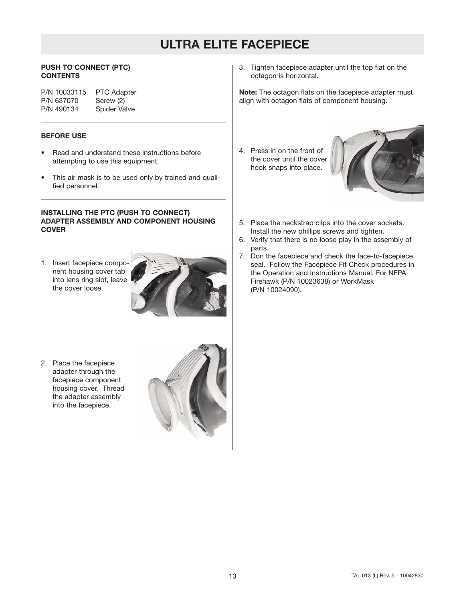#### **PUSH TO CONNECT (PTC) CONTENTS**

P/N 10033115 PTC Adapter<br>P/N 637070 Screw (2) P/N 637070<br>P/N 490134 Spider Valve

#### **BEFORE USE**

- Read and understand these instructions before attempting to use this equipment.
- This air mask is to be used only by trained and qualified personnel.

#### **INSTALLING THE PTC (PUSH TO CONNECT) ADAPTER ASSEMBLY AND COMPONENT HOUSING COVER**

1. Insert facepiece component housing cover tab into lens ring slot, leave the cover loose.



2. Place the facepiece adapter through the facepiece component housing cover. Thread the adapter assembly into the facepiece.



3. Tighten facepiece adapter until the top flat on the octagon is horizontal.

**Note:** The octagon flats on the facepiece adapter must align with octagon flats of component housing.

4. Press in on the front of the cover until the cover hook snaps into place.



- 5. Place the neckstrap clips into the cover sockets. Install the new phillips screws and tighten.
- 6. Verify that there is no loose play in the assembly of parts.
- 7. Don the facepiece and check the face-to-facepiece seal. Follow the Facepiece Fit Check procedures in the Operation and Instructions Manual. For NFPA Firehawk (P/N 10023638) or WorkMask (P/N 10024090).